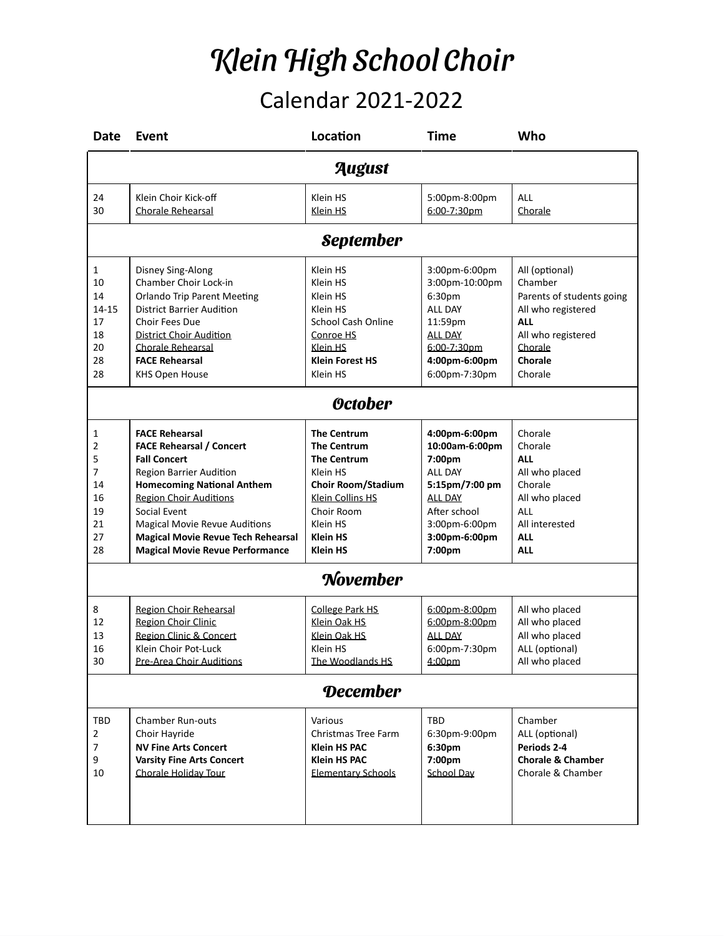## Klein High School Choir Calendar 2021-2022

| <b>Date</b>      | Event                                                   | Location                            | <b>Time</b>                    | Who                              |  |  |  |
|------------------|---------------------------------------------------------|-------------------------------------|--------------------------------|----------------------------------|--|--|--|
| August           |                                                         |                                     |                                |                                  |  |  |  |
| 24               | Klein Choir Kick-off                                    | Klein HS                            | 5:00pm-8:00pm                  | <b>ALL</b>                       |  |  |  |
| 30               | <b>Chorale Rehearsal</b>                                | Klein HS                            | 6:00-7:30pm                    | Chorale                          |  |  |  |
| <b>September</b> |                                                         |                                     |                                |                                  |  |  |  |
| $\mathbf{1}$     | Disney Sing-Along                                       | Klein HS                            | 3:00pm-6:00pm                  | All (optional)                   |  |  |  |
| 10               | Chamber Choir Lock-in                                   | Klein HS                            | 3:00pm-10:00pm                 | Chamber                          |  |  |  |
| 14               | <b>Orlando Trip Parent Meeting</b>                      | Klein HS                            | 6:30pm                         | Parents of students going        |  |  |  |
| 14-15            | <b>District Barrier Audition</b>                        | Klein HS                            | ALL DAY                        | All who registered               |  |  |  |
| 17               | Choir Fees Due                                          | <b>School Cash Online</b>           | 11:59pm                        | <b>ALL</b>                       |  |  |  |
| 18               | <b>District Choir Audition</b>                          | Conroe HS                           | <b>ALL DAY</b>                 | All who registered               |  |  |  |
| 20               | Chorale Rehearsal                                       | Klein HS                            | 6:00-7:30pm                    | Chorale                          |  |  |  |
| 28               | <b>FACE Rehearsal</b>                                   | <b>Klein Forest HS</b>              | 4:00pm-6:00pm                  | Chorale                          |  |  |  |
| 28               | <b>KHS Open House</b>                                   | Klein HS                            | 6:00pm-7:30pm                  | Chorale                          |  |  |  |
| <b>October</b>   |                                                         |                                     |                                |                                  |  |  |  |
| 1                | <b>FACE Rehearsal</b>                                   | <b>The Centrum</b>                  | 4:00pm-6:00pm                  | Chorale                          |  |  |  |
| 2                | <b>FACE Rehearsal / Concert</b>                         | <b>The Centrum</b>                  | 10:00am-6:00pm                 | Chorale                          |  |  |  |
| 5                | <b>Fall Concert</b>                                     | <b>The Centrum</b>                  | 7:00pm                         | <b>ALL</b>                       |  |  |  |
| 7                | <b>Region Barrier Audition</b>                          | Klein HS                            | ALL DAY                        | All who placed                   |  |  |  |
| 14               | <b>Homecoming National Anthem</b>                       | <b>Choir Room/Stadium</b>           | 5:15pm/7:00 pm                 | Chorale                          |  |  |  |
| 16               | <b>Region Choir Auditions</b>                           | Klein Collins HS                    | <b>ALL DAY</b>                 | All who placed                   |  |  |  |
| 19               | Social Event                                            | Choir Room                          | After school                   | <b>ALL</b>                       |  |  |  |
| 21               | <b>Magical Movie Revue Auditions</b>                    | Klein HS                            | 3:00pm-6:00pm                  | All interested                   |  |  |  |
| 27               | <b>Magical Movie Revue Tech Rehearsal</b>               | <b>Klein HS</b>                     | 3:00pm-6:00pm                  | <b>ALL</b>                       |  |  |  |
| 28               | <b>Magical Movie Revue Performance</b>                  | <b>Klein HS</b>                     | 7:00pm                         | <b>ALL</b>                       |  |  |  |
| <b>November</b>  |                                                         |                                     |                                |                                  |  |  |  |
|                  |                                                         |                                     |                                |                                  |  |  |  |
| 8<br>12          | Region Choir Rehearsal                                  | <b>College Park HS</b>              | 6:00pm-8:00pm                  | All who placed                   |  |  |  |
| 13               | Region Choir Clinic                                     | Klein Oak HS<br>Klein Oak HS        | 6:00pm-8:00pm                  | All who placed                   |  |  |  |
| 16               | Region Clinic & Concert                                 |                                     | <b>ALL DAY</b>                 | All who placed                   |  |  |  |
| 30               | Klein Choir Pot-Luck<br><u>Pre-Area Choir Auditions</u> | Klein HS<br><u>The Woodlands HS</u> | 6:00pm-7:30pm<br><u>4:00pm</u> | ALL (optional)<br>All who placed |  |  |  |
|                  |                                                         |                                     |                                |                                  |  |  |  |
| <b>December</b>  |                                                         |                                     |                                |                                  |  |  |  |
| TBD              | <b>Chamber Run-outs</b>                                 | Various                             | TBD                            | Chamber                          |  |  |  |
| 2                | Choir Hayride                                           | Christmas Tree Farm                 | 6:30pm-9:00pm                  | ALL (optional)                   |  |  |  |
| $\overline{7}$   | <b>NV Fine Arts Concert</b>                             | <b>Klein HS PAC</b>                 | 6:30pm                         | Periods 2-4                      |  |  |  |
| 9                | <b>Varsity Fine Arts Concert</b>                        | <b>Klein HS PAC</b>                 | 7:00pm                         | <b>Chorale &amp; Chamber</b>     |  |  |  |
| 10               | Chorale Holiday Tour                                    | <b>Elementary Schools</b>           | School Day                     | Chorale & Chamber                |  |  |  |
|                  |                                                         |                                     |                                |                                  |  |  |  |
|                  |                                                         |                                     |                                |                                  |  |  |  |
|                  |                                                         |                                     |                                |                                  |  |  |  |
|                  |                                                         |                                     |                                |                                  |  |  |  |